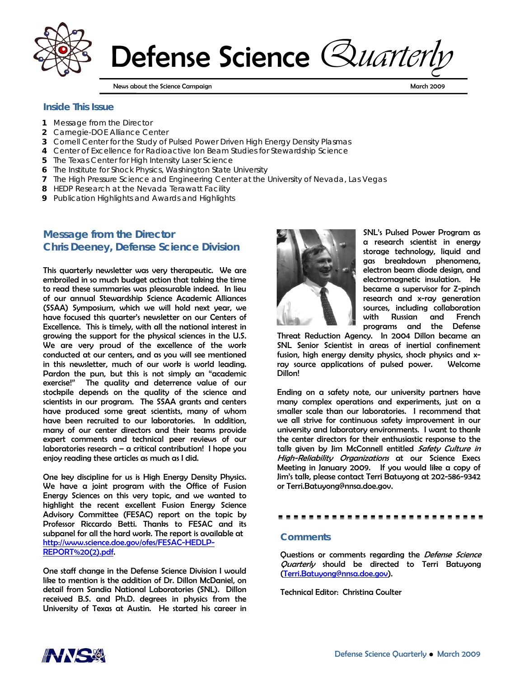

Defense Science *Quarteri* 

News about the Science Campaign March 2009 (News Assessment Campaign March 2009 (News Assessment Campaign March 2009

#### **Inside This Issue**

- **1** Message from the Director
- **2** Carnegie-DOE Alliance Center
- **3** Cornell Center for the Study of Pulsed Power Driven High Energy Density Plasmas
- **4** Center of Excellence for Radioactive Ion Beam Studies for Stewardship Science
- **5** The Texas Center for High Intensity Laser Science
- **6** The Institute for Shock Physics, Washington State University
- **7** The High Pressure Science and Engineering Center at the University of Nevada, Las Vegas
- **8** HEDP Research at the Nevada Terawatt Facility
- **9** Publication Highlights and Awards and Highlights

# **Message from the Director Chris Deeney, Defense Science Division**

This quarterly newsletter was very therapeutic. We are embroiled in so much budget action that taking the time to read these summaries was pleasurable indeed. In lieu of our annual Stewardship Science Academic Alliances (SSAA) Symposium, which we will hold next year, we have focused this quarter's newsletter on our Centers of Excellence. This is timely, with all the national interest in growing the support for the physical sciences in the U.S. We are very proud of the excellence of the work conducted at our centers, and as you will see mentioned in this newsletter, much of our work is world leading. Pardon the pun, but this is not simply an "academic exercise!" The quality and deterrence value of our stockpile depends on the quality of the science and scientists in our program. The SSAA grants and centers have produced some great scientists, many of whom have been recruited to our laboratories. In addition, many of our center directors and their teams provide expert comments and technical peer reviews of our laboratories research – a critical contribution! I hope you enjoy reading these articles as much as I did.

One key discipline for us is High Energy Density Physics. We have a joint program with the Office of Fusion Energy Sciences on this very topic, and we wanted to highlight the recent excellent Fusion Energy Science Advisory Committee (FESAC) report on the topic by Professor Riccardo Betti. Thanks to FESAC and its subpanel for all the hard work. The report is available at http://www.science.doe.gov/ofes/FESAC-HEDLP-REPORT%20(2).pdf.

One staff change in the Defense Science Division I would like to mention is the addition of Dr. Dillon McDaniel, on detail from Sandia National Laboratories (SNL). Dillon received B.S. and Ph.D. degrees in physics from the University of Texas at Austin. He started his career in



SNL's Pulsed Power Program as a research scientist in energy storage technology, liquid and gas breakdown phenomena, electron beam diode design, and electromagnetic insulation. He became a supervisor for Z-pinch research and x-ray generation sources, including collaboration with Russian and French programs and the Defense

Threat Reduction Agency. In 2004 Dillon became an SNL Senior Scientist in areas of inertial confinement fusion, high energy density physics, shock physics and xray source applications of pulsed power. Welcome Dillon!

Ending on a safety note, our university partners have many complex operations and experiments, just on a smaller scale than our laboratories. I recommend that we all strive for continuous safety improvement in our university and laboratory environments. I want to thank the center directors for their enthusiastic response to the talk given by Jim McConnell entitled Safety Culture in High-Reliability Organizations at our Science Execs Meeting in January 2009. If you would like a copy of Jim's talk, please contact Terri Batuyong at 202-586-9342 or Terri.Batuyong@nnsa.doe.gov.

#### 

#### *Comments*

Questions or comments regarding the Defense Science Quarterly should be directed to Terri Batuyong (Terri.Batuyong@nnsa.doe.gov).

Technical Editor: Christina Coulter

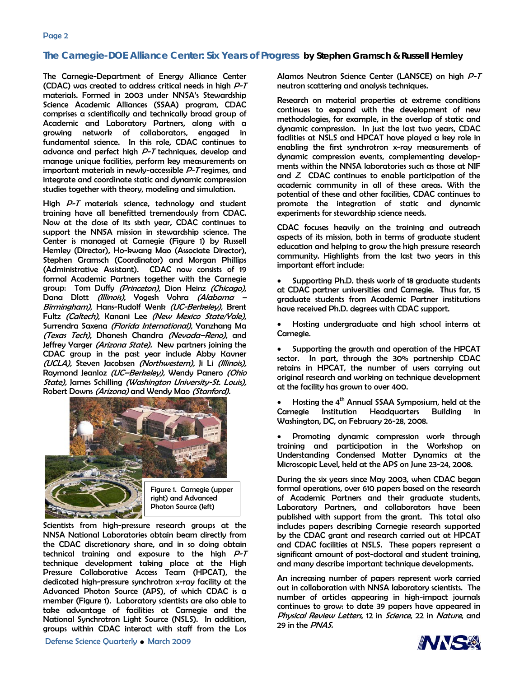### **The Carnegie-DOE Alliance Center: Six Years of Progress by Stephen Gramsch & Russell Hemley**

The Carnegie-Department of Energy Alliance Center (CDAC) was created to address critical needs in high P-T materials. Formed in 2003 under NNSA's Stewardship Science Academic Alliances (SSAA) program, CDAC comprises a scientifically and technically broad group of Academic and Laboratory Partners, along with a growing network of collaborators, engaged in fundamental science. In this role, CDAC continues to advance and perfect high P-T techniques, develop and manage unique facilities, perform key measurements on important materials in newly-accessible P-T regimes, and integrate and coordinate static and dynamic compression studies together with theory, modeling and simulation.

High P-T materials science, technology and student training have all benefitted tremendously from CDAC. Now at the close of its sixth year, CDAC continues to support the NNSA mission in stewardship science. The Center is managed at Carnegie (Figure 1) by Russell Hemley (Director), Ho-kwang Mao (Associate Director), Stephen Gramsch (Coordinator) and Morgan Phillips (Administrative Assistant). CDAC now consists of 19 formal Academic Partners together with the Carnegie group: Tom Duffy (Princeton), Dion Heinz (Chicago), Dana Dlott *(Illinois)*, Yogesh Vohra *(Alabama* Birmingham), Hans-Rudolf Wenk (UC-Berkeley), Brent Fultz (Caltech), Kanani Lee (New Mexico State/Yale), Surrendra Saxena (Florida International), Yanzhang Ma (Texas Tech), Dhanesh Chandra (Nevada–Reno), and Jeffrey Yarger (Arizona State). New partners joining the CDAC group in the past year include Abby Kavner (UCLA), Steven Jacobsen (Northwestern), Ji Li (Illinois), Raymond Jeanloz (UC-Berkeley), Wendy Panero (Ohio State), James Schilling (Washington University-St. Louis), Robert Downs (Arizona) and Wendy Mao (Stanford).



Scientists from high-pressure research groups at the NNSA National Laboratories obtain beam directly from the CDAC discretionary share, and in so doing obtain technical training and exposure to the high P-T technique development taking place at the High Pressure Collaborative Access Team (HPCAT), the dedicated high-pressure synchrotron x-ray facility at the Advanced Photon Source (APS), of which CDAC is a member (Figure 1). Laboratory scientists are also able to take advantage of facilities at Carnegie and the National Synchrotron Light Source (NSLS). In addition, groups within CDAC interact with staff from the Los

Alamos Neutron Science Center (LANSCE) on high  $P$ -T neutron scattering and analysis techniques.

Research on material properties at extreme conditions continues to expand with the development of new methodologies, for example, in the overlap of static and dynamic compression. In just the last two years, CDAC facilities at NSLS and HPCAT have played a key role in enabling the first synchrotron x-ray measurements of dynamic compression events, complementing developments within the NNSA laboratories such as those at NIF and Z. CDAC continues to enable participation of the academic community in all of these areas. With the potential of these and other facilities, CDAC continues to promote the integration of static and dynamic experiments for stewardship science needs.

CDAC focuses heavily on the training and outreach aspects of its mission, both in terms of graduate student education and helping to grow the high pressure research community. Highlights from the last two years in this important effort include:

• Supporting Ph.D. thesis work of 18 graduate students at CDAC partner universities and Carnegie. Thus far, 15 graduate students from Academic Partner institutions have received Ph.D. degrees with CDAC support.

• Hosting undergraduate and high school interns at Carnegie.

• Supporting the growth and operation of the HPCAT sector. In part, through the 30% partnership CDAC retains in HPCAT, the number of users carrying out original research and working on technique development at the facility has grown to over 400.

• Hosting the 4th Annual SSAA Symposium, held at the Carnegie Institution Headquarters Building in Washington, DC, on February 26-28, 2008.

Promoting dynamic compression work through training and participation in the Workshop on Understanding Condensed Matter Dynamics at the Microscopic Level, held at the APS on June 23-24, 2008.

During the six years since May 2003, when CDAC began formal operations, over 610 papers based on the research of Academic Partners and their graduate students, Laboratory Partners, and collaborators have been published with support from the grant. This total also includes papers describing Carnegie research supported by the CDAC grant and research carried out at HPCAT and CDAC facilities at NSLS. These papers represent a significant amount of post-doctoral and student training, and many describe important technique developments.

An increasing number of papers represent work carried out in collaboration with NNSA laboratory scientists. The number of articles appearing in high-impact journals continues to grow: to date 39 papers have appeared in Physical Review Letters, 12 in Science, 22 in Nature, and 29 in the PNAS.

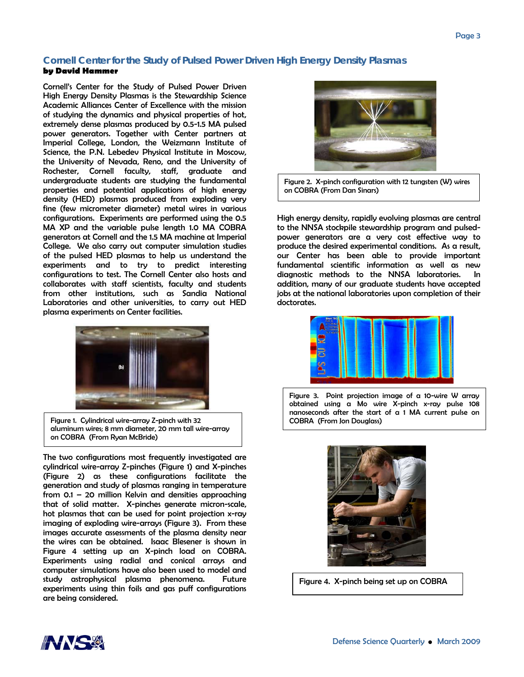#### **Cornell Center for the Study of Pulsed Power Driven High Energy Density Plasmas by David Hammer**

Cornell's Center for the Study of Pulsed Power Driven High Energy Density Plasmas is the Stewardship Science Academic Alliances Center of Excellence with the mission of studying the dynamics and physical properties of hot, extremely dense plasmas produced by 0.5-1.5 MA pulsed power generators. Together with Center partners at Imperial College, London, the Weizmann Institute of Science, the P.N. Lebedev Physical Institute in Moscow, the University of Nevada, Reno, and the University of Rochester, Cornell faculty, staff, graduate and undergraduate students are studying the fundamental properties and potential applications of high energy density (HED) plasmas produced from exploding very fine (few micrometer diameter) metal wires in various configurations. Experiments are performed using the 0.5 MA XP and the variable pulse length 1.0 MA COBRA generators at Cornell and the 1.5 MA machine at Imperial College. We also carry out computer simulation studies of the pulsed HED plasmas to help us understand the experiments and to try to predict interesting configurations to test. The Cornell Center also hosts and collaborates with staff scientists, faculty and students from other institutions, such as Sandia National Laboratories and other universities, to carry out HED plasma experiments on Center facilities.



Figure 1. Cylindrical wire-array Z-pinch with 32 aluminum wires; 8 mm diameter, 20 mm tall wire-array on COBRA (From Ryan McBride)

The two configurations most frequently investigated are cylindrical wire-array Z-pinches (Figure 1) and X-pinches (Figure 2) as these configurations facilitate the generation and study of plasmas ranging in temperature from 0.1 – 20 million Kelvin and densities approaching that of solid matter. X-pinches generate micron-scale, hot plasmas that can be used for point projection x-ray imaging of exploding wire-arrays (Figure 3). From these images accurate assessments of the plasma density near the wires can be obtained. Isaac Blesener is shown in Figure 4 setting up an X-pinch load on COBRA. Experiments using radial and conical arrays and computer simulations have also been used to model and study astrophysical plasma phenomena. Future experiments using thin foils and gas puff configurations are being considered.



Figure 2. X-pinch configuration with 12 tungsten (W) wires on COBRA (From Dan Sinars)

High energy density, rapidly evolving plasmas are central to the NNSA stockpile stewardship program and pulsedpower generators are a very cost effective way to produce the desired experimental conditions. As a result, our Center has been able to provide important fundamental scientific information as well as new diagnostic methods to the NNSA laboratories. In addition, many of our graduate students have accepted jobs at the national laboratories upon completion of their doctorates.



Figure 3. Point projection image of a 10-wire W array obtained using a Mo wire X-pinch x-ray pulse 108 nanoseconds after the start of a 1 MA current pulse on COBRA (From Jon Douglass)



Figure 4. X-pinch being set up on COBRA

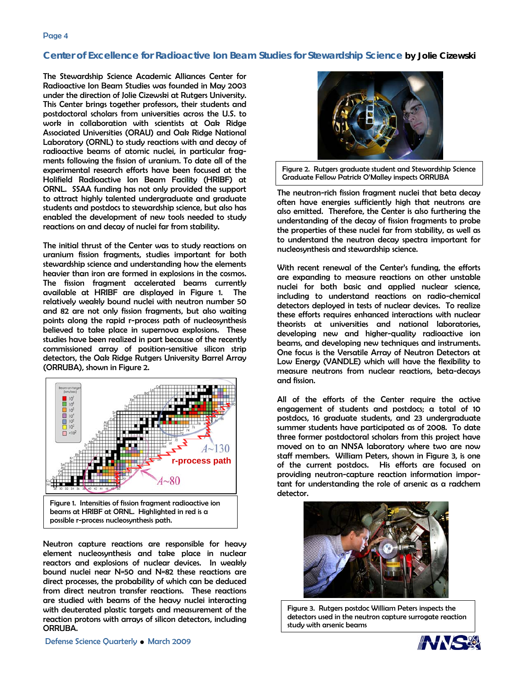## **Center of Excellence for Radioactive Ion Beam Studies for Stewardship Science by Jolie Cizewski**

The Stewardship Science Academic Alliances Center for Radioactive Ion Beam Studies was founded in May 2003 under the direction of Jolie Cizewski at Rutgers University. This Center brings together professors, their students and postdoctoral scholars from universities across the U.S. to work in collaboration with scientists at Oak Ridge Associated Universities (ORAU) and Oak Ridge National Laboratory (ORNL) to study reactions with and decay of radioactive beams of atomic nuclei, in particular fragments following the fission of uranium. To date all of the experimental research efforts have been focused at the Holifield Radioactive Ion Beam Facility (HRIBF) at ORNL. SSAA funding has not only provided the support to attract highly talented undergraduate and graduate students and postdocs to stewardship science, but also has enabled the development of new tools needed to study reactions on and decay of nuclei far from stability.

The initial thrust of the Center was to study reactions on uranium fission fragments, studies important for both stewardship science and understanding how the elements heavier than iron are formed in explosions in the cosmos. The fission fragment accelerated beams currently available at HRIBF are displayed in Figure 1. The relatively weakly bound nuclei with neutron number 50 and 82 are not only fission fragments, but also waiting points along the rapid r-process path of nucleosynthesis believed to take place in supernova explosions. These studies have been realized in part because of the recently commissioned array of position-sensitive silicon strip detectors, the Oak Ridge Rutgers University Barrel Array (ORRUBA), shown in Figure 2.





Neutron capture reactions are responsible for heavy element nucleosynthesis and take place in nuclear reactors and explosions of nuclear devices. In weakly bound nuclei near N=50 and N=82 these reactions are direct processes, the probability of which can be deduced from direct neutron transfer reactions. These reactions are studied with beams of the heavy nuclei interacting with deuterated plastic targets and measurement of the reaction protons with arrays of silicon detectors, including ORRUBA.



Figure 2. Rutgers graduate student and Stewardship Science Graduate Fellow Patrick O'Malley inspects ORRUBA

The neutron-rich fission fragment nuclei that beta decay often have energies sufficiently high that neutrons are also emitted. Therefore, the Center is also furthering the understanding of the decay of fission fragments to probe the properties of these nuclei far from stability, as well as to understand the neutron decay spectra important for nucleosynthesis and stewardship science.

With recent renewal of the Center's funding, the efforts are expanding to measure reactions on other unstable nuclei for both basic and applied nuclear science, including to understand reactions on radio-chemical detectors deployed in tests of nuclear devices. To realize these efforts requires enhanced interactions with nuclear theorists at universities and national laboratories, developing new and higher-quality radioactive ion beams, and developing new techniques and instruments. One focus is the Versatile Array of Neutron Detectors at Low Energy (VANDLE) which will have the flexibility to measure neutrons from nuclear reactions, beta-decays and fission.

All of the efforts of the Center require the active engagement of students and postdocs; a total of 10 postdocs, 16 graduate students, and 23 undergraduate summer students have participated as of 2008. To date three former postdoctoral scholars from this project have moved on to an NNSA laboratory where two are now staff members. William Peters, shown in Figure 3, is one of the current postdocs. His efforts are focused on providing neutron-capture reaction information important for understanding the role of arsenic as a radchem detector.



Figure 3. Rutgers postdoc William Peters inspects the detectors used in the neutron capture surrogate reaction study with arsenic beams

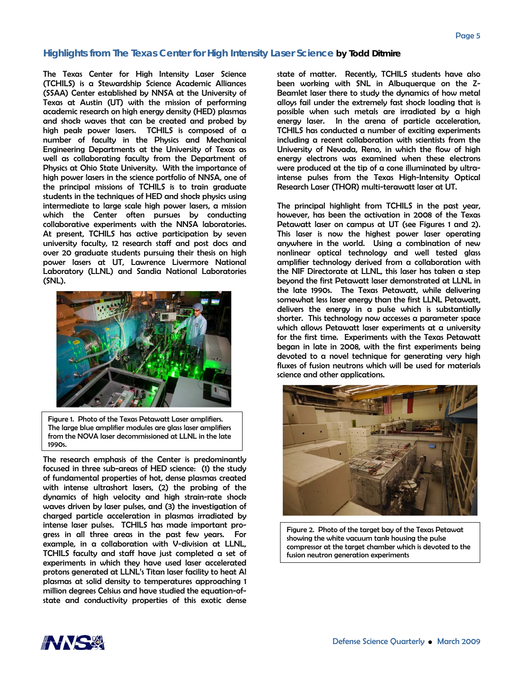### **Highlights from The Texas Center for High Intensity Laser Science by Todd Ditmire**

The Texas Center for High Intensity Laser Science (TCHILS) is a Stewardship Science Academic Alliances (SSAA) Center established by NNSA at the University of Texas at Austin (UT) with the mission of performing academic research on high energy density (HED) plasmas and shock waves that can be created and probed by high peak power lasers. TCHILS is composed of a number of faculty in the Physics and Mechanical Engineering Departments at the University of Texas as well as collaborating faculty from the Department of Physics at Ohio State University. With the importance of high power lasers in the science portfolio of NNSA, one of the principal missions of TCHILS is to train graduate students in the techniques of HED and shock physics using intermediate to large scale high power lasers, a mission which the Center often pursues by conducting collaborative experiments with the NNSA laboratories. At present, TCHILS has active participation by seven university faculty, 12 research staff and post docs and over 20 graduate students pursuing their thesis on high power lasers at UT, Lawrence Livermore National Laboratory (LLNL) and Sandia National Laboratories (SNL).



Figure 1. Photo of the Texas Petawatt Laser amplifiers. The large blue amplifier modules are glass laser amplifiers from the NOVA laser decommissioned at LLNL in the late 1990s.

The research emphasis of the Center is predominantly focused in three sub-areas of HED science: (1) the study of fundamental properties of hot, dense plasmas created with intense ultrashort lasers, (2) the probing of the dynamics of high velocity and high strain-rate shock waves driven by laser pulses, and (3) the investigation of charged particle acceleration in plasmas irradiated by intense laser pulses. TCHILS has made important progress in all three areas in the past few years. For example, in a collaboration with V-division at LLNL, TCHILS faculty and staff have just completed a set of experiments in which they have used laser accelerated protons generated at LLNL's Titan laser facility to heat Al plasmas at solid density to temperatures approaching 1 million degrees Celsius and have studied the equation-ofstate and conductivity properties of this exotic dense state of matter. Recently, TCHILS students have also been working with SNL in Albuquerque on the Z-Beamlet laser there to study the dynamics of how metal alloys fail under the extremely fast shock loading that is possible when such metals are irradiated by a high energy laser. In the arena of particle acceleration, TCHILS has conducted a number of exciting experiments including a recent collaboration with scientists from the University of Nevada, Reno, in which the flow of high energy electrons was examined when these electrons were produced at the tip of a cone illuminated by ultraintense pulses from the Texas High-Intensity Optical Research Laser (THOR) multi-terawatt laser at UT.

The principal highlight from TCHILS in the past year, however, has been the activation in 2008 of the Texas Petawatt laser on campus at UT (see Figures 1 and 2). This laser is now the highest power laser operating anywhere in the world. Using a combination of new nonlinear optical technology and well tested glass amplifier technology derived from a collaboration with the NIF Directorate at LLNL, this laser has taken a step beyond the first Petawatt laser demonstrated at LLNL in the late 1990s. The Texas Petawatt, while delivering somewhat less laser energy than the first LLNL Petawatt, delivers the energy in a pulse which is substantially shorter. This technology now accesses a parameter space which allows Petawatt laser experiments at a university for the first time. Experiments with the Texas Petawatt began in late in 2008, with the first experiments being devoted to a novel technique for generating very high fluxes of fusion neutrons which will be used for materials science and other applications.



Figure 2. Photo of the target bay of the Texas Petawat showing the white vacuum tank housing the pulse compressor at the target chamber which is devoted to the fusion neutron generation experiments

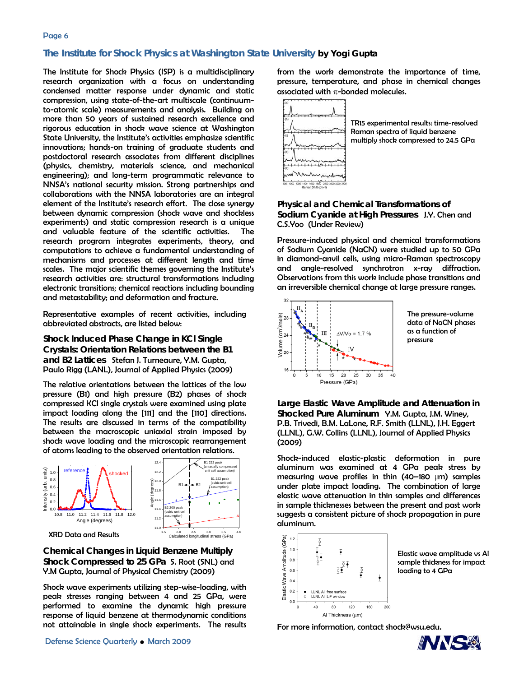#### Page 6

#### **The Institute for Shock Physics at Washington State University by Yogi Gupta**

The Institute for Shock Physics (ISP) is a multidisciplinary research organization with a focus on understanding condensed matter response under dynamic and static compression, using state-of-the-art multiscale (continuumto-atomic scale) measurements and analysis. Building on more than 50 years of sustained research excellence and rigorous education in shock wave science at Washington State University, the Institute's activities emphasize scientific innovations; hands-on training of graduate students and postdoctoral research associates from different disciplines (physics, chemistry, materials science, and mechanical engineering); and long-term programmatic relevance to NNSA's national security mission. Strong partnerships and collaborations with the NNSA laboratories are an integral element of the Institute's research effort. The close synergy between dynamic compression (shock wave and shockless experiments) and static compression research is a unique and valuable feature of the scientific activities. The research program integrates experiments, theory, and computations to achieve a fundamental understanding of mechanisms and processes at different length and time scales. The major scientific themes governing the Institute's research activities are: structural transformations including electronic transitions; chemical reactions including bounding and metastability; and deformation and fracture.

Representative examples of recent activities, including abbreviated abstracts, are listed below:

**Shock Induced Phase Change in KCl Single Crystals: Orientation Relations between the B1 and B2 Lattices** Stefan J. Turneaure, Y.M. Gupta, Paulo Rigg (LANL), Journal of Applied Physics (2009)

The relative orientations between the lattices of the low pressure (B1) and high pressure (B2) phases of shock compressed KCl single crystals were examined using plate impact loading along the [111] and the [110] directions. The results are discussed in terms of the compatibility between the macroscopic uniaxial strain imposed by shock wave loading and the microscopic rearrangement of atoms leading to the observed orientation relations.



**Chemical Changes in Liquid Benzene Multiply Shock Compressed to 25 GPa** S. Root (SNL) and Y.M Gupta, Journal of Physical Chemistry (2009)

Shock wave experiments utilizing step-wise-loading, with peak stresses ranging between 4 and 25 GPa, were performed to examine the dynamic high pressure response of liquid benzene at thermodynamic conditions not attainable in single shock experiments. The results from the work demonstrate the importance of time, pressure, temperature, and phase in chemical changes associated with  $\pi$ -bonded molecules.



TR15 experimental results: time-resolved Raman spectra of liquid benzene multiply shock compressed to 24.5 GPa

**Physical and Chemical Transformations of Sodium Cyanide at High Pressures** J.Y. Chen and C.S.Yoo (Under Review)

Pressure-induced physical and chemical transformations of Sodium Cyanide (NaCN) were studied up to 50 GPa in diamond-anvil cells, using micro-Raman spectroscopy and angle-resolved synchrotron x-ray diffraction. Observations from this work include phase transitions and an irreversible chemical change at large pressure ranges.



The pressure-volume data of NaCN phases as a function of pressure

**Large Elastic Wave Amplitude and Attenuation in Shocked Pure Aluminum** Y.M. Gupta, J.M. Winey, P.B. Trivedi, B.M. LaLone, R.F. Smith (LLNL), J.H. Eggert (LLNL), G.W. Collins (LLNL), Journal of Applied Physics (2009)

Shock-induced elastic-plastic deformation in pure aluminum was examined at 4 GPa peak stress by measuring wave profiles in thin (40–180 μm) samples under plate impact loading. The combination of large elastic wave attenuation in thin samples and differences in sample thicknesses between the present and past work suggests a consistent picture of shock propagation in pure aluminum.



Elastic wave amplitude vs Al sample thickness for impact loading to 4 GPa

For more information, contact shock@wsu.edu.

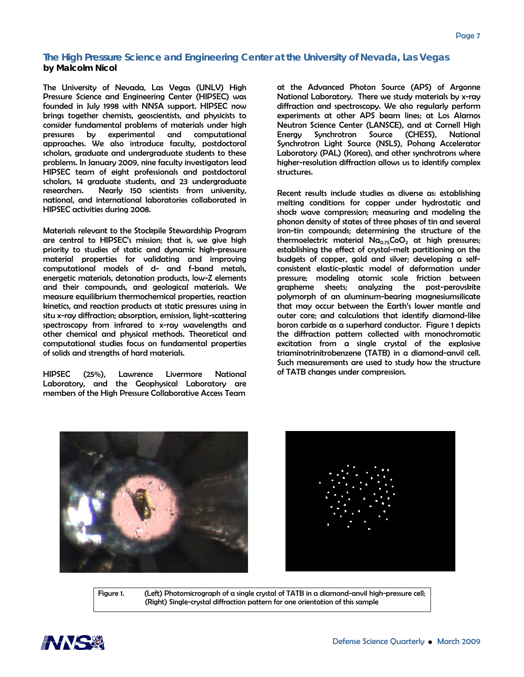### **The High Pressure Science and Engineering Center at the University of Nevada, Las Vegas by Malcolm Nicol**

The University of Nevada, Las Vegas (UNLV) High Pressure Science and Engineering Center (HIPSEC) was founded in July 1998 with NNSA support. HIPSEC now brings together chemists, geoscientists, and physicists to consider fundamental problems of materials under high pressures by experimental and computational approaches. We also introduce faculty, postdoctoral scholars, graduate and undergraduate students to these problems. In January 2009, nine faculty investigators lead HIPSEC team of eight professionals and postdoctoral scholars, 14 graduate students, and 23 undergraduate researchers. Nearly 150 scientists from university, national, and international laboratories collaborated in HIPSEC activities during 2008.

Materials relevant to the Stockpile Stewardship Program are central to HIPSEC's mission; that is, we give high priority to studies of static and dynamic high-pressure material properties for validating and improving computational models of d- and f-band metals, energetic materials, detonation products, low-Z elements and their compounds, and geological materials. We measure equilibrium thermochemical properties, reaction kinetics, and reaction products at static pressures using in situ x-ray diffraction; absorption, emission, light-scattering spectroscopy from infrared to x-ray wavelengths and other chemical and physical methods. Theoretical and computational studies focus on fundamental properties of solids and strengths of hard materials.

HIPSEC (25%), Lawrence Livermore National Laboratory, and the Geophysical Laboratory are members of the High Pressure Collaborative Access Team

at the Advanced Photon Source (APS) of Argonne National Laboratory. There we study materials by x-ray diffraction and spectroscopy. We also regularly perform experiments at other APS beam lines; at Los Alamos Neutron Science Center (LANSCE), and at Cornell High Energy Synchrotron Source (CHESS), National Synchrotron Light Source (NSLS), Pohang Accelerator Laboratory (PAL) (Korea), and other synchrotrons where higher-resolution diffraction allows us to identify complex structures.

Recent results include studies as diverse as: establishing melting conditions for copper under hydrostatic and shock wave compression; measuring and modeling the phonon density of states of three phases of tin and several iron-tin compounds; determining the structure of the thermoelectric material  $Na<sub>0.75</sub>CoO<sub>2</sub>$  at high pressures; establishing the effect of crystal-melt partitioning on the budgets of copper, gold and silver; developing a selfconsistent elastic-plastic model of deformation under pressure; modeling atomic scale friction between grapheme sheets; analyzing the post-perovskite polymorph of an aluminum-bearing magnesiumsilicate that may occur between the Earth's lower mantle and outer core; and calculations that identify diamond-like boron carbide as a superhard conductor. Figure 1 depicts the diffraction pattern collected with monochromatic excitation from a single crystal of the explosive triaminotrinitrobenzene (TATB) in a diamond-anvil cell. Such measurements are used to study how the structure of TATB changes under compression.





Figure 1. (Left) Photomicrograph of a single crystal of TATB in a diamond-anvil high-pressure cell; (Right) Single-crystal diffraction pattern for one orientation of this sample

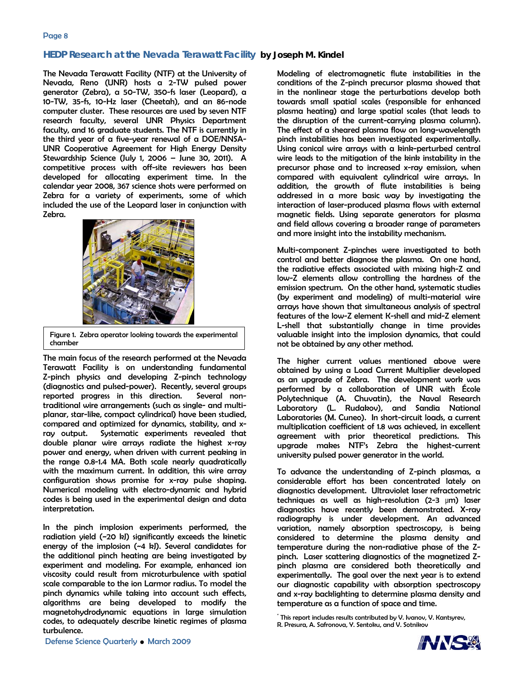#### **HEDP Research at the Nevada Terawatt Facility by Joseph M. Kindel**

The Nevada Terawatt Facility (NTF) at the University of Nevada, Reno (UNR) hosts a 2-TW pulsed power generator (Zebra), a 50-TW, 350-fs laser (Leopard), a 10-TW, 35-fs, 10-Hz laser (Cheetah), and an 86-node computer cluster. These resources are used by seven NTF research faculty, several UNR Physics Department faculty, and 16 graduate students. The NTF is currently in the third year of a five-year renewal of a DOE/NNSA-UNR Cooperative Agreement for High Energy Density Stewardship Science (July 1, 2006 – June 30, 2011). A competitive process with off-site reviewers has been developed for allocating experiment time. In the calendar year 2008, 367 science shots were performed on Zebra for a variety of experiments, some of which included the use of the Leopard laser in conjunction with Zebra.



Figure 1. Zebra operator looking towards the experimental chamber

The main focus of the research performed at the Nevada Terawatt Facility is on understanding fundamental Z-pinch physics and developing Z-pinch technology (diagnostics and pulsed-power). Recently, several groups reported progress in this direction. Several nontraditional wire arrangements (such as single- and multiplanar, star-like, compact cylindrical) have been studied, compared and optimized for dynamics, stability, and xray output. Systematic experiments revealed that double planar wire arrays radiate the highest x-ray power and energy, when driven with current peaking in the range 0.8-1.4 MA. Both scale nearly quadratically with the maximum current. In addition, this wire array configuration shows promise for x-ray pulse shaping. Numerical modeling with electro-dynamic and hybrid codes is being used in the experimental design and data interpretation.

In the pinch implosion experiments performed, the radiation yield (~20 kJ) significantly exceeds the kinetic energy of the implosion (~4 kJ). Several candidates for the additional pinch heating are being investigated by experiment and modeling. For example, enhanced ion viscosity could result from microturbulence with spatial scale comparable to the ion Larmor radius. To model the pinch dynamics while taking into account such effects, algorithms are being developed to modify the magnetohydrodynamic equations in large simulation codes, to adequately describe kinetic regimes of plasma turbulence.

Modeling of electromagnetic flute instabilities in the conditions of the Z-pinch precursor plasma showed that in the nonlinear stage the perturbations develop both towards small spatial scales (responsible for enhanced plasma heating) and large spatial scales (that leads to the disruption of the current-carrying plasma column). The effect of a sheared plasma flow on long-wavelength pinch instabilities has been investigated experimentally. Using conical wire arrays with a kink-perturbed central wire leads to the mitigation of the kink instability in the precursor phase and to increased x-ray emission, when compared with equivalent cylindrical wire arrays. In addition, the growth of flute instabilities is being addressed in a more basic way by investigating the interaction of laser-produced plasma flows with external magnetic fields. Using separate generators for plasma and field allows covering a broader range of parameters and more insight into the instability mechanism.

Multi-component Z-pinches were investigated to both control and better diagnose the plasma. On one hand, the radiative effects associated with mixing high-Z and low-Z elements allow controlling the hardness of the emission spectrum. On the other hand, systematic studies (by experiment and modeling) of multi-material wire arrays have shown that simultaneous analysis of spectral features of the low-Z element K-shell and mid-Z element L-shell that substantially change in time provides valuable insight into the implosion dynamics, that could not be obtained by any other method.

The higher current values mentioned above were obtained by using a Load Current Multiplier developed as an upgrade of Zebra. The development work was performed by a collaboration of UNR with École Polytechnique (A. Chuvatin), the Naval Research Laboratory (L. Rudakov), and Sandia National Laboratories (M. Cuneo). In short-circuit loads, a current multiplication coefficient of 1.8 was achieved, in excellent agreement with prior theoretical predictions. This upgrade makes NTF's Zebra the highest-current university pulsed power generator in the world.

To advance the understanding of Z-pinch plasmas, a considerable effort has been concentrated lately on diagnostics development. Ultraviolet laser refractometric techniques as well as high-resolution (2-3 μm) laser diagnostics have recently been demonstrated. X-ray radiography is under development. An advanced variation, namely absorption spectroscopy, is being considered to determine the plasma density and temperature during the non-radiative phase of the Zpinch. Laser scattering diagnostics of the magnetized Zpinch plasma are considered both theoretically and experimentally. The goal over the next year is to extend our diagnostic capability with absorption spectroscopy and x-ray backlighting to determine plasma density and temperature as a function of space and time.

\* This report includes results contributed by V. Ivanov, V. Kantsyrev, R. Presura, A. Safronova, Y. Sentoku, and V. Sotnikov